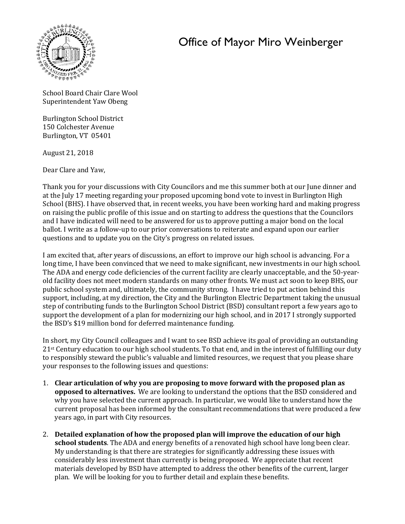## Office of Mayor Miro Weinberger



School Board Chair Clare Wool Superintendent Yaw Obeng

Burlington School District 150 Colchester Avenue Burlington, VT 05401

August 21, 2018

Dear Clare and Yaw,

Thank you for your discussions with City Councilors and me this summer both at our June dinner and at the July 17 meeting regarding your proposed upcoming bond vote to invest in Burlington High School (BHS). I have observed that, in recent weeks, you have been working hard and making progress on raising the public profile of this issue and on starting to address the questions that the Councilors and I have indicated will need to be answered for us to approve putting a major bond on the local ballot. I write as a follow-up to our prior conversations to reiterate and expand upon our earlier questions and to update you on the City's progress on related issues.

I am excited that, after years of discussions, an effort to improve our high school is advancing. For a long time, I have been convinced that we need to make significant, new investments in our high school. The ADA and energy code deficiencies of the current facility are clearly unacceptable, and the 50-yearold facility does not meet modern standards on many other fronts. We must act soon to keep BHS, our public school system and, ultimately, the community strong. I have tried to put action behind this support, including, at my direction, the City and the Burlington Electric Department taking the unusual step of contributing funds to the Burlington School District (BSD) consultant report a few years ago to support the development of a plan for modernizing our high school, and in 2017 I strongly supported the BSD's \$19 million bond for deferred maintenance funding.

In short, my City Council colleagues and I want to see BSD achieve its goal of providing an outstanding 21<sup>st</sup> Century education to our high school students. To that end, and in the interest of fulfilling our duty to responsibly steward the public's valuable and limited resources, we request that you please share your responses to the following issues and questions:

- 1. **Clear articulation of why you are proposing to move forward with the proposed plan as opposed to alternatives.** We are looking to understand the options that the BSD considered and why you have selected the current approach. In particular, we would like to understand how the current proposal has been informed by the consultant recommendations that were produced a few years ago, in part with City resources.
- 2. **Detailed explanation of how the proposed plan will improve the education of our high school students**. The ADA and energy benefits of a renovated high school have long been clear. My understanding is that there are strategies for significantly addressing these issues with considerably less investment than currently is being proposed. We appreciate that recent materials developed by BSD have attempted to address the other benefits of the current, larger plan. We will be looking for you to further detail and explain these benefits.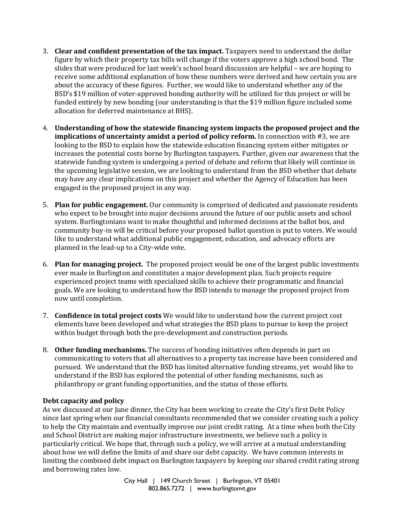- 3. **Clear and confident presentation of the tax impact.** Taxpayers need to understand the dollar figure by which their property tax bills will change if the voters approve a high school bond. The slides that were produced for last week's school board discussion are helpful – we are hoping to receive some additional explanation of how these numbers were derived and how certain you are about the accuracy of these figures. Further, we would like to understand whether any of the BSD's \$19 million of voter-approved bonding authority will be utilized for this project or will be funded entirely by new bonding (our understanding is that the \$19 million figure included some allocation for deferred maintenance at BHS).
- 4. **Understanding of how the statewide financing system impacts the proposed project and the implications of uncertainty amidst a period of policy reform.** In connection with #3, we are looking to the BSD to explain how the statewide education financing system either mitigates or increases the potential costs borne by Burlington taxpayers. Further, given our awareness that the statewide funding system is undergoing a period of debate and reform that likely will continue in the upcoming legislative session, we are looking to understand from the BSD whether that debate may have any clear implications on this project and whether the Agency of Education has been engaged in the proposed project in any way.
- 5. **Plan for public engagement.** Our community is comprised of dedicated and passionate residents who expect to be brought into major decisions around the future of our public assets and school system. Burlingtonians want to make thoughtful and informed decisions at the ballot box, and community buy-in will be critical before your proposed ballot question is put to voters. We would like to understand what additional public engagement, education, and advocacy efforts are planned in the lead-up to a City-wide vote.
- 6. **Plan for managing project.** The proposed project would be one of the largest public investments ever made in Burlington and constitutes a major development plan. Such projects require experienced project teams with specialized skills to achieve their programmatic and financial goals. We are looking to understand how the BSD intends to manage the proposed project from now until completion.
- 7. **Confidence in total project costs** We would like to understand how the current project cost elements have been developed and what strategies the BSD plans to pursue to keep the project within budget through both the pre-development and construction periods.
- 8. **Other funding mechanisms.** The success of bonding initiatives often depends in part on communicating to voters that all alternatives to a property tax increase have been considered and pursued. We understand that the BSD has limited alternative funding streams, yet would like to understand if the BSD has explored the potential of other funding mechanisms, such as philanthropy or grant funding opportunities, and the status of those efforts.

## **Debt capacity and policy**

As we discussed at our June dinner, the City has been working to create the City's first Debt Policy since last spring when our financial consultants recommended that we consider creating such a policy to help the City maintain and eventually improve our joint credit rating. At a time when both the City and School District are making major infrastructure investments, we believe such a policy is particularly critical. We hope that, through such a policy, we will arrive at a mutual understanding about how we will define the limits of and share our debt capacity. We have common interests in limiting the combined debt impact on Burlington taxpayers by keeping our shared credit rating strong and borrowing rates low.

> City Hall | 149 Church Street | Burlington, VT 05401 802.865.7272 | www.burlingtonvt.gov